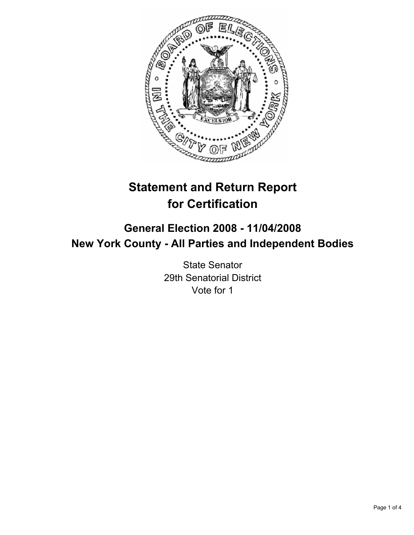

# **Statement and Return Report for Certification**

# **General Election 2008 - 11/04/2008 New York County - All Parties and Independent Bodies**

State Senator 29th Senatorial District Vote for 1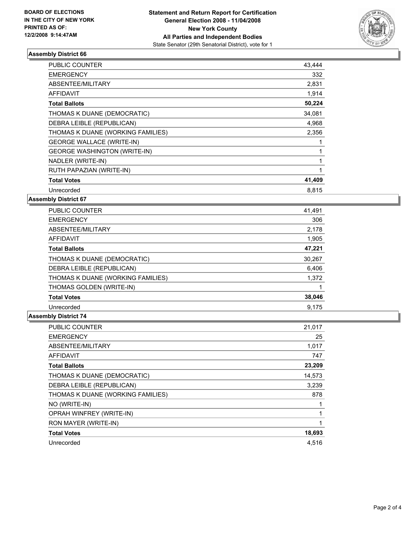

## **Assembly District 66**

| PUBLIC COUNTER                      | 43,444 |
|-------------------------------------|--------|
| <b>EMERGENCY</b>                    | 332    |
| ABSENTEE/MILITARY                   | 2,831  |
| AFFIDAVIT                           | 1,914  |
| <b>Total Ballots</b>                | 50,224 |
| THOMAS K DUANE (DEMOCRATIC)         | 34,081 |
| DEBRA LEIBLE (REPUBLICAN)           | 4,968  |
| THOMAS K DUANE (WORKING FAMILIES)   | 2,356  |
| <b>GEORGE WALLACE (WRITE-IN)</b>    |        |
| <b>GEORGE WASHINGTON (WRITE-IN)</b> |        |
| NADLER (WRITE-IN)                   |        |
| RUTH PAPAZIAN (WRITE-IN)            |        |
| <b>Total Votes</b>                  | 41,409 |
| Unrecorded                          | 8,815  |

**Assembly District 67**

| <b>PUBLIC COUNTER</b>             | 41,491 |
|-----------------------------------|--------|
| <b>EMERGENCY</b>                  | 306    |
| ABSENTEE/MILITARY                 | 2,178  |
| AFFIDAVIT                         | 1,905  |
| <b>Total Ballots</b>              | 47,221 |
| THOMAS K DUANE (DEMOCRATIC)       | 30,267 |
| DEBRA LEIBLE (REPUBLICAN)         | 6,406  |
| THOMAS K DUANE (WORKING FAMILIES) | 1,372  |
| THOMAS GOLDEN (WRITE-IN)          |        |
| <b>Total Votes</b>                | 38,046 |
| Unrecorded                        | 9.175  |

### **Assembly District 74**

| PUBLIC COUNTER                    | 21,017 |
|-----------------------------------|--------|
| <b>EMERGENCY</b>                  | 25     |
| ABSENTEE/MILITARY                 | 1,017  |
| <b>AFFIDAVIT</b>                  | 747    |
| <b>Total Ballots</b>              | 23,209 |
| THOMAS K DUANE (DEMOCRATIC)       | 14,573 |
| DEBRA LEIBLE (REPUBLICAN)         | 3,239  |
| THOMAS K DUANE (WORKING FAMILIES) | 878    |
| NO (WRITE-IN)                     |        |
| OPRAH WINFREY (WRITE-IN)          |        |
| RON MAYER (WRITE-IN)              |        |
| <b>Total Votes</b>                | 18,693 |
| Unrecorded                        | 4,516  |
|                                   |        |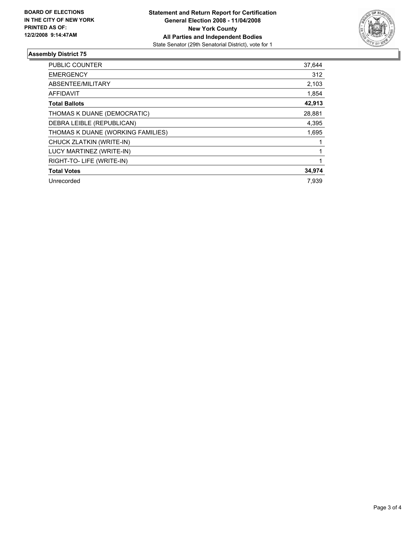

#### **Assembly District 75**

| PUBLIC COUNTER                    | 37,644 |
|-----------------------------------|--------|
| <b>EMERGENCY</b>                  | 312    |
| ABSENTEE/MILITARY                 | 2,103  |
| AFFIDAVIT                         | 1,854  |
| <b>Total Ballots</b>              | 42,913 |
| THOMAS K DUANE (DEMOCRATIC)       | 28,881 |
| DEBRA LEIBLE (REPUBLICAN)         | 4,395  |
| THOMAS K DUANE (WORKING FAMILIES) | 1,695  |
| CHUCK ZLATKIN (WRITE-IN)          |        |
| LUCY MARTINEZ (WRITE-IN)          |        |
| RIGHT-TO-LIFE (WRITE-IN)          |        |
| <b>Total Votes</b>                | 34,974 |
| Unrecorded                        | 7.939  |